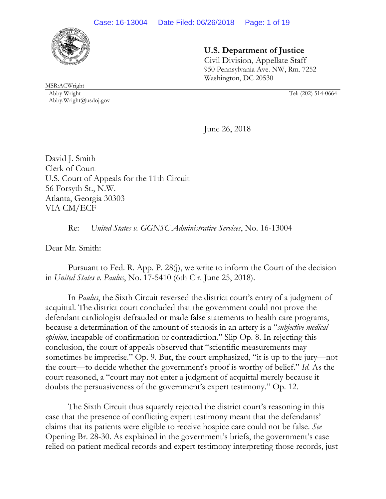

# **U.S. Department of Justice**

 Civil Division, Appellate Staff 950 Pennsylvania Ave. NW, Rm. 7252 Washington, DC 20530

MSR:ACWright Abby Wright Tel: (202) 514-0664 Abby.Wright@usdoj.gov

June 26, 2018

David J. Smith Clerk of Court U.S. Court of Appeals for the 11th Circuit 56 Forsyth St., N.W. Atlanta, Georgia 30303 VIA CM/ECF

Re: *United States v. GGNSC Administrative Services*, No. 16-13004

Dear Mr. Smith:

 Pursuant to Fed. R. App. P. 28(j), we write to inform the Court of the decision in *United States v. Paulus*, No. 17-5410 (6th Cir. June 25, 2018).

 In *Paulus*, the Sixth Circuit reversed the district court's entry of a judgment of acquittal. The district court concluded that the government could not prove the defendant cardiologist defrauded or made false statements to health care programs, because a determination of the amount of stenosis in an artery is a "*subjective medical opinion*, incapable of confirmation or contradiction." Slip Op. 8. In rejecting this conclusion, the court of appeals observed that "scientific measurements may sometimes be imprecise." Op. 9. But, the court emphasized, "it is up to the jury—not the court—to decide whether the government's proof is worthy of belief." *Id.* As the court reasoned, a "court may not enter a judgment of acquittal merely because it doubts the persuasiveness of the government's expert testimony." Op. 12.

 The Sixth Circuit thus squarely rejected the district court's reasoning in this case that the presence of conflicting expert testimony meant that the defendants' claims that its patients were eligible to receive hospice care could not be false. *See*  Opening Br. 28-30. As explained in the government's briefs, the government's case relied on patient medical records and expert testimony interpreting those records, just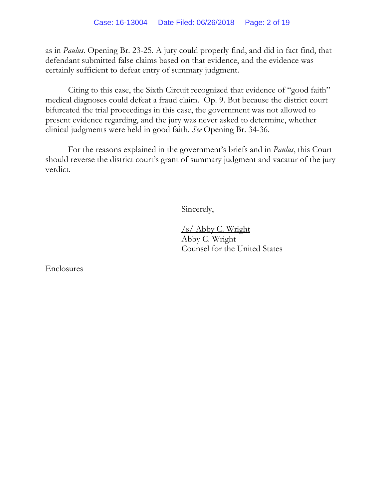as in *Paulus*. Opening Br. 23-25. A jury could properly find, and did in fact find, that defendant submitted false claims based on that evidence, and the evidence was certainly sufficient to defeat entry of summary judgment.

Citing to this case, the Sixth Circuit recognized that evidence of "good faith" medical diagnoses could defeat a fraud claim. Op. 9. But because the district court bifurcated the trial proceedings in this case, the government was not allowed to present evidence regarding, and the jury was never asked to determine, whether clinical judgments were held in good faith. *See* Opening Br. 34-36.

 For the reasons explained in the government's briefs and in *Paulus*, this Court should reverse the district court's grant of summary judgment and vacatur of the jury verdict.

Sincerely,

 /s/ Abby C. Wright Abby C. Wright Counsel for the United States

Enclosures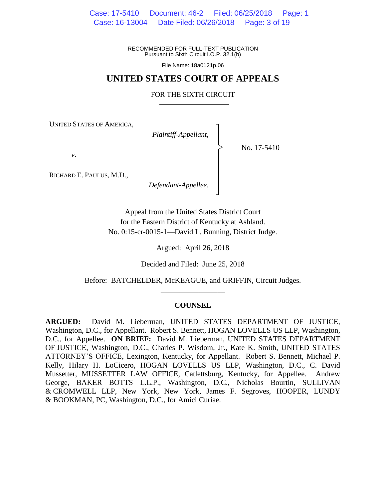Case: 17-5410 Document: 46-2 Filed: 06/25/2018 Page: 1 Case: 16-13004 Date Filed: 06/26/2018 Page: 3 of 19

> RECOMMENDED FOR FULL-TEXT PUBLICATION Pursuant to Sixth Circuit I.O.P. 32.1(b)

> > File Name: 18a0121p.06

## **UNITED STATES COURT OF APPEALS**

#### FOR THE SIXTH CIRCUIT

┐ │ │ │ │ │ │ │ ┘

|<br>|<br>|

UNITED STATES OF AMERICA,

*Plaintiff-Appellant*,

No. 17-5410

*v*.

RICHARD E. PAULUS, M.D.,

*Defendant-Appellee*.

Appeal from the United States District Court for the Eastern District of Kentucky at Ashland. No. 0:15-cr-0015-1—David L. Bunning, District Judge.

Argued: April 26, 2018

Decided and Filed: June 25, 2018

Before: BATCHELDER, McKEAGUE, and GRIFFIN, Circuit Judges. \_\_\_\_\_\_\_\_\_\_\_\_\_\_\_\_\_

#### **COUNSEL**

**ARGUED:** David M. Lieberman, UNITED STATES DEPARTMENT OF JUSTICE, Washington, D.C., for Appellant. Robert S. Bennett, HOGAN LOVELLS US LLP, Washington, D.C., for Appellee. **ON BRIEF:** David M. Lieberman, UNITED STATES DEPARTMENT OF JUSTICE, Washington, D.C., Charles P. Wisdom, Jr., Kate K. Smith, UNITED STATES ATTORNEY'S OFFICE, Lexington, Kentucky, for Appellant. Robert S. Bennett, Michael P. Kelly, Hilary H. LoCicero, HOGAN LOVELLS US LLP, Washington, D.C., C. David Mussetter, MUSSETTER LAW OFFICE, Catlettsburg, Kentucky, for Appellee. Andrew George, BAKER BOTTS L.L.P., Washington, D.C., Nicholas Bourtin, SULLIVAN & CROMWELL LLP, New York, New York, James F. Segroves, HOOPER, LUNDY & BOOKMAN, PC, Washington, D.C., for Amici Curiae.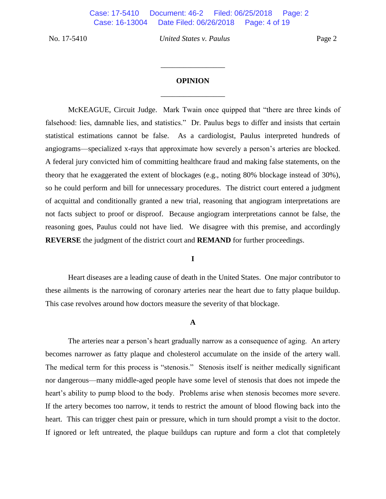# **OPINION** \_\_\_\_\_\_\_\_\_\_\_\_\_\_\_\_\_

\_\_\_\_\_\_\_\_\_\_\_\_\_\_\_\_\_

McKEAGUE, Circuit Judge. Mark Twain once quipped that "there are three kinds of falsehood: lies, damnable lies, and statistics." Dr. Paulus begs to differ and insists that certain statistical estimations cannot be false. As a cardiologist, Paulus interpreted hundreds of angiograms—specialized x-rays that approximate how severely a person's arteries are blocked. A federal jury convicted him of committing healthcare fraud and making false statements, on the theory that he exaggerated the extent of blockages (e.g., noting 80% blockage instead of 30%), so he could perform and bill for unnecessary procedures. The district court entered a judgment of acquittal and conditionally granted a new trial, reasoning that angiogram interpretations are not facts subject to proof or disproof. Because angiogram interpretations cannot be false, the reasoning goes, Paulus could not have lied. We disagree with this premise, and accordingly **REVERSE** the judgment of the district court and **REMAND** for further proceedings.

## **I**

Heart diseases are a leading cause of death in the United States. One major contributor to these ailments is the narrowing of coronary arteries near the heart due to fatty plaque buildup. This case revolves around how doctors measure the severity of that blockage.

## **A**

The arteries near a person's heart gradually narrow as a consequence of aging. An artery becomes narrower as fatty plaque and cholesterol accumulate on the inside of the artery wall. The medical term for this process is "stenosis." Stenosis itself is neither medically significant nor dangerous—many middle-aged people have some level of stenosis that does not impede the heart's ability to pump blood to the body. Problems arise when stenosis becomes more severe. If the artery becomes too narrow, it tends to restrict the amount of blood flowing back into the heart. This can trigger chest pain or pressure, which in turn should prompt a visit to the doctor. If ignored or left untreated, the plaque buildups can rupture and form a clot that completely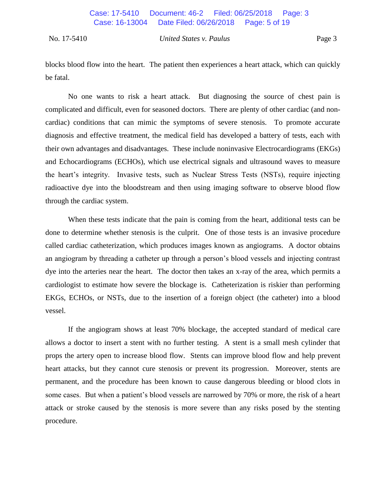blocks blood flow into the heart. The patient then experiences a heart attack, which can quickly be fatal.

No one wants to risk a heart attack. But diagnosing the source of chest pain is complicated and difficult, even for seasoned doctors. There are plenty of other cardiac (and noncardiac) conditions that can mimic the symptoms of severe stenosis. To promote accurate diagnosis and effective treatment, the medical field has developed a battery of tests, each with their own advantages and disadvantages. These include noninvasive Electrocardiograms (EKGs) and Echocardiograms (ECHOs), which use electrical signals and ultrasound waves to measure the heart's integrity. Invasive tests, such as Nuclear Stress Tests (NSTs), require injecting radioactive dye into the bloodstream and then using imaging software to observe blood flow through the cardiac system.

When these tests indicate that the pain is coming from the heart, additional tests can be done to determine whether stenosis is the culprit. One of those tests is an invasive procedure called cardiac catheterization, which produces images known as angiograms. A doctor obtains an angiogram by threading a catheter up through a person's blood vessels and injecting contrast dye into the arteries near the heart. The doctor then takes an x-ray of the area, which permits a cardiologist to estimate how severe the blockage is. Catheterization is riskier than performing EKGs, ECHOs, or NSTs, due to the insertion of a foreign object (the catheter) into a blood vessel.

If the angiogram shows at least 70% blockage, the accepted standard of medical care allows a doctor to insert a stent with no further testing. A stent is a small mesh cylinder that props the artery open to increase blood flow. Stents can improve blood flow and help prevent heart attacks, but they cannot cure stenosis or prevent its progression. Moreover, stents are permanent, and the procedure has been known to cause dangerous bleeding or blood clots in some cases. But when a patient's blood vessels are narrowed by 70% or more, the risk of a heart attack or stroke caused by the stenosis is more severe than any risks posed by the stenting procedure.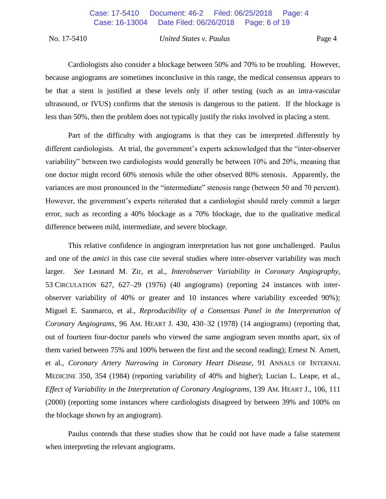Cardiologists also consider a blockage between 50% and 70% to be troubling. However, because angiograms are sometimes inconclusive in this range, the medical consensus appears to be that a stent is justified at these levels only if other testing (such as an intra-vascular ultrasound, or IVUS) confirms that the stenosis is dangerous to the patient. If the blockage is less than 50%, then the problem does not typically justify the risks involved in placing a stent.

Part of the difficulty with angiograms is that they can be interpreted differently by different cardiologists. At trial, the government's experts acknowledged that the "inter-observer variability" between two cardiologists would generally be between 10% and 20%, meaning that one doctor might record 60% stenosis while the other observed 80% stenosis. Apparently, the variances are most pronounced in the "intermediate" stenosis range (between 50 and 70 percent). However, the government's experts reiterated that a cardiologist should rarely commit a larger error, such as recording a 40% blockage as a 70% blockage, due to the qualitative medical difference between mild, intermediate, and severe blockage.

This relative confidence in angiogram interpretation has not gone unchallenged. Paulus and one of the *amici* in this case cite several studies where inter-observer variability was much larger. *See* Leonard M. Zir, et al., *Interobserver Variability in Coronary Angiography*, 53 CIRCULATION 627, 627–29 (1976) (40 angiograms) (reporting 24 instances with interobserver variability of 40% or greater and 10 instances where variability exceeded 90%); Miguel E. Sanmarco, et al., *Reproducibility of a Consensus Panel in the Interpretation of Coronary Angiograms*, 96 AM. HEART J. 430, 430–32 (1978) (14 angiograms) (reporting that, out of fourteen four-doctor panels who viewed the same angiogram seven months apart, six of them varied between 75% and 100% between the first and the second reading); Ernest N. Arnett, et al., *Coronary Artery Narrowing in Coronary Heart Disease*, 91 ANNALS OF INTERNAL MEDICINE 350, 354 (1984) (reporting variability of 40% and higher); Lucian L. Leape, et al., *Effect of Variability in the Interpretation of Coronary Angiograms*, 139 AM. HEART J., 106, 111 (2000) (reporting some instances where cardiologists disagreed by between 39% and 100% on the blockage shown by an angiogram).

Paulus contends that these studies show that he could not have made a false statement when interpreting the relevant angiograms.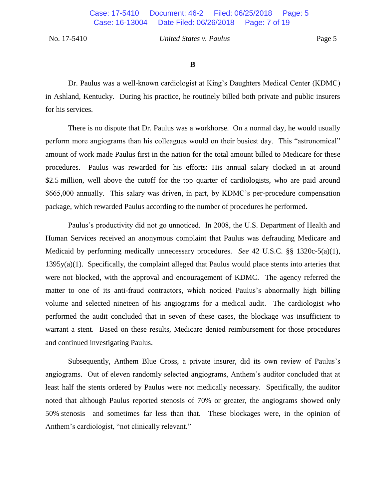**B**

Dr. Paulus was a well-known cardiologist at King's Daughters Medical Center (KDMC) in Ashland, Kentucky. During his practice, he routinely billed both private and public insurers for his services.

There is no dispute that Dr. Paulus was a workhorse. On a normal day, he would usually perform more angiograms than his colleagues would on their busiest day. This "astronomical" amount of work made Paulus first in the nation for the total amount billed to Medicare for these procedures. Paulus was rewarded for his efforts: His annual salary clocked in at around \$2.5 million, well above the cutoff for the top quarter of cardiologists, who are paid around \$665,000 annually. This salary was driven, in part, by KDMC's per-procedure compensation package, which rewarded Paulus according to the number of procedures he performed.

Paulus's productivity did not go unnoticed. In 2008, the U.S. Department of Health and Human Services received an anonymous complaint that Paulus was defrauding Medicare and Medicaid by performing medically unnecessary procedures. *See* 42 U.S.C. §§ 1320c-5(a)(1),  $1395y(a)(1)$ . Specifically, the complaint alleged that Paulus would place stents into arteries that were not blocked, with the approval and encouragement of KDMC. The agency referred the matter to one of its anti-fraud contractors, which noticed Paulus's abnormally high billing volume and selected nineteen of his angiograms for a medical audit. The cardiologist who performed the audit concluded that in seven of these cases, the blockage was insufficient to warrant a stent. Based on these results, Medicare denied reimbursement for those procedures and continued investigating Paulus.

Subsequently, Anthem Blue Cross, a private insurer, did its own review of Paulus's angiograms. Out of eleven randomly selected angiograms, Anthem's auditor concluded that at least half the stents ordered by Paulus were not medically necessary. Specifically, the auditor noted that although Paulus reported stenosis of 70% or greater, the angiograms showed only 50% stenosis—and sometimes far less than that. These blockages were, in the opinion of Anthem's cardiologist, "not clinically relevant."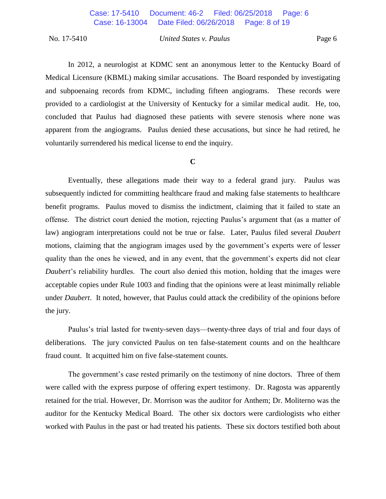In 2012, a neurologist at KDMC sent an anonymous letter to the Kentucky Board of Medical Licensure (KBML) making similar accusations. The Board responded by investigating and subpoenaing records from KDMC, including fifteen angiograms. These records were provided to a cardiologist at the University of Kentucky for a similar medical audit. He, too, concluded that Paulus had diagnosed these patients with severe stenosis where none was apparent from the angiograms. Paulus denied these accusations, but since he had retired, he voluntarily surrendered his medical license to end the inquiry.

## **C**

Eventually, these allegations made their way to a federal grand jury. Paulus was subsequently indicted for committing healthcare fraud and making false statements to healthcare benefit programs. Paulus moved to dismiss the indictment, claiming that it failed to state an offense. The district court denied the motion, rejecting Paulus's argument that (as a matter of law) angiogram interpretations could not be true or false. Later, Paulus filed several *Daubert*  motions, claiming that the angiogram images used by the government's experts were of lesser quality than the ones he viewed, and in any event, that the government's experts did not clear *Daubert*'s reliability hurdles. The court also denied this motion, holding that the images were acceptable copies under Rule 1003 and finding that the opinions were at least minimally reliable under *Daubert*. It noted, however, that Paulus could attack the credibility of the opinions before the jury.

Paulus's trial lasted for twenty-seven days—twenty-three days of trial and four days of deliberations. The jury convicted Paulus on ten false-statement counts and on the healthcare fraud count. It acquitted him on five false-statement counts.

The government's case rested primarily on the testimony of nine doctors. Three of them were called with the express purpose of offering expert testimony. Dr. Ragosta was apparently retained for the trial. However, Dr. Morrison was the auditor for Anthem; Dr. Moliterno was the auditor for the Kentucky Medical Board. The other six doctors were cardiologists who either worked with Paulus in the past or had treated his patients. These six doctors testified both about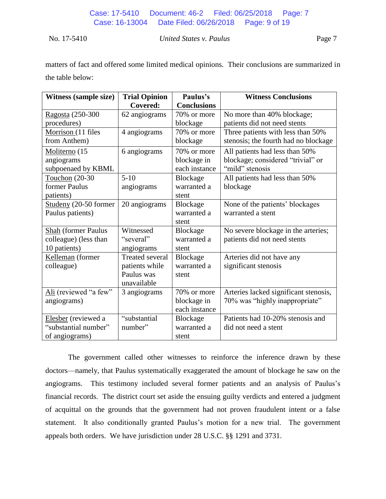matters of fact and offered some limited medical opinions. Their conclusions are summarized in the table below:

| <b>Witness (sample size)</b> | <b>Trial Opinion</b>   | Paulus's           | <b>Witness Conclusions</b>            |
|------------------------------|------------------------|--------------------|---------------------------------------|
|                              | Covered:               | <b>Conclusions</b> |                                       |
| Ragosta (250-300             | 62 angiograms          | 70% or more        | No more than 40% blockage;            |
| procedures)                  |                        | blockage           | patients did not need stents          |
| Morrison (11 files           | 4 angiograms           | 70% or more        | Three patients with less than 50%     |
| from Anthem)                 |                        | blockage           | stenosis; the fourth had no blockage  |
| Moliterno (15                | 6 angiograms           | 70% or more        | All patients had less than 50%        |
| angiograms                   |                        | blockage in        | blockage; considered "trivial" or     |
| subpoenaed by KBML           |                        | each instance      | "mild" stenosis                       |
| Touchon (20-30               | $5-10$                 | Blockage           | All patients had less than 50%        |
| former Paulus                | angiograms             | warranted a        | blockage                              |
| patients)                    |                        | stent              |                                       |
| Studeny (20-50 former        | 20 angiograms          | Blockage           | None of the patients' blockages       |
| Paulus patients)             |                        | warranted a        | warranted a stent                     |
|                              |                        | stent              |                                       |
| <b>Shah</b> (former Paulus   | Witnessed              | Blockage           | No severe blockage in the arteries;   |
| colleague) (less than        | "several"              | warranted a        | patients did not need stents          |
| 10 patients)                 | angiograms             | stent              |                                       |
| Kelleman (former             | <b>Treated several</b> | Blockage           | Arteries did not have any             |
| colleague)                   | patients while         | warranted a        | significant stenosis                  |
|                              | Paulus was             | stent              |                                       |
|                              | unavailable            |                    |                                       |
| Ali (reviewed "a few"        | 3 angiograms           | 70% or more        | Arteries lacked significant stenosis, |
| angiograms)                  |                        | blockage in        | 70% was "highly inappropriate"        |
|                              |                        | each instance      |                                       |
| Elesber (reviewed a          | "substantial           | Blockage           | Patients had 10-20% stenosis and      |
| "substantial number"         | number"                | warranted a        | did not need a stent                  |
| of angiograms)               |                        | stent              |                                       |

The government called other witnesses to reinforce the inference drawn by these doctors—namely, that Paulus systematically exaggerated the amount of blockage he saw on the angiograms. This testimony included several former patients and an analysis of Paulus's financial records. The district court set aside the ensuing guilty verdicts and entered a judgment of acquittal on the grounds that the government had not proven fraudulent intent or a false statement. It also conditionally granted Paulus's motion for a new trial. The government appeals both orders. We have jurisdiction under 28 U.S.C. §§ 1291 and 3731.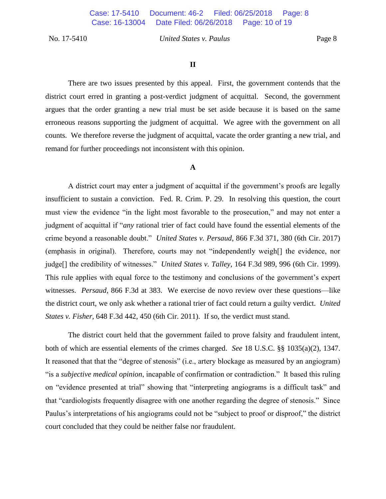## **II**

There are two issues presented by this appeal. First, the government contends that the district court erred in granting a post-verdict judgment of acquittal. Second, the government argues that the order granting a new trial must be set aside because it is based on the same erroneous reasons supporting the judgment of acquittal. We agree with the government on all counts. We therefore reverse the judgment of acquittal, vacate the order granting a new trial, and remand for further proceedings not inconsistent with this opinion.

#### **A**

A district court may enter a judgment of acquittal if the government's proofs are legally insufficient to sustain a conviction. Fed. R. Crim. P. 29. In resolving this question, the court must view the evidence "in the light most favorable to the prosecution," and may not enter a judgment of acquittal if "*any* rational trier of fact could have found the essential elements of the crime beyond a reasonable doubt." *United States v. Persaud*, 866 F.3d 371, 380 (6th Cir. 2017) (emphasis in original). Therefore, courts may not "independently weigh[] the evidence, nor judge[] the credibility of witnesses." *United States v. Talley*, 164 F.3d 989, 996 (6th Cir. 1999). This rule applies with equal force to the testimony and conclusions of the government's expert witnesses. *Persaud*, 866 F.3d at 383. We exercise de novo review over these questions—like the district court, we only ask whether a rational trier of fact could return a guilty verdict. *United States v. Fisher*, 648 F.3d 442, 450 (6th Cir. 2011). If so, the verdict must stand.

The district court held that the government failed to prove falsity and fraudulent intent, both of which are essential elements of the crimes charged. *See* 18 U.S.C. §§ 1035(a)(2), 1347. It reasoned that that the "degree of stenosis" (i.e., artery blockage as measured by an angiogram) "is a *subjective medical opinion*, incapable of confirmation or contradiction." It based this ruling on "evidence presented at trial" showing that "interpreting angiograms is a difficult task" and that "cardiologists frequently disagree with one another regarding the degree of stenosis." Since Paulus's interpretations of his angiograms could not be "subject to proof or disproof," the district court concluded that they could be neither false nor fraudulent.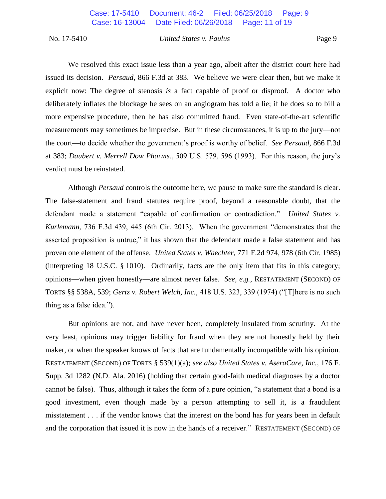We resolved this exact issue less than a year ago, albeit after the district court here had issued its decision. *Persaud*, 866 F.3d at 383.We believe we were clear then, but we make it explicit now: The degree of stenosis *is* a fact capable of proof or disproof. A doctor who deliberately inflates the blockage he sees on an angiogram has told a lie; if he does so to bill a more expensive procedure, then he has also committed fraud. Even state-of-the-art scientific measurements may sometimes be imprecise. But in these circumstances, it is up to the jury—not the court—to decide whether the government's proof is worthy of belief. *See Persaud*, 866 F.3d at 383; *Daubert v. Merrell Dow Pharms.*, 509 U.S. 579, 596 (1993). For this reason, the jury's verdict must be reinstated.

Although *Persaud* controls the outcome here, we pause to make sure the standard is clear. The false-statement and fraud statutes require proof, beyond a reasonable doubt, that the defendant made a statement "capable of confirmation or contradiction." *United States v. Kurlemann*, 736 F.3d 439, 445 (6th Cir. 2013). When the government "demonstrates that the asserted proposition is untrue," it has shown that the defendant made a false statement and has proven one element of the offense. *United States v. Waechter*, 771 F.2d 974, 978 (6th Cir. 1985) (interpreting 18 U.S.C. § 1010). Ordinarily, facts are the only item that fits in this category; opinions—when given honestly—are almost never false. *See, e.g.*, RESTATEMENT (SECOND) OF TORTS §§ 538A, 539; *Gertz v. Robert Welch, Inc.*, 418 U.S. 323, 339 (1974) ("[T]here is no such thing as a false idea.").

But opinions are not, and have never been, completely insulated from scrutiny. At the very least, opinions may trigger liability for fraud when they are not honestly held by their maker, or when the speaker knows of facts that are fundamentally incompatible with his opinion. RESTATEMENT (SECOND) OF TORTS § 539(1)(a); *see also United States v. AseraCare, Inc.*, 176 F. Supp. 3d 1282 (N.D. Ala. 2016) (holding that certain good-faith medical diagnoses by a doctor cannot be false). Thus, although it takes the form of a pure opinion, "a statement that a bond is a good investment, even though made by a person attempting to sell it, is a fraudulent misstatement . . . if the vendor knows that the interest on the bond has for years been in default and the corporation that issued it is now in the hands of a receiver." RESTATEMENT (SECOND) OF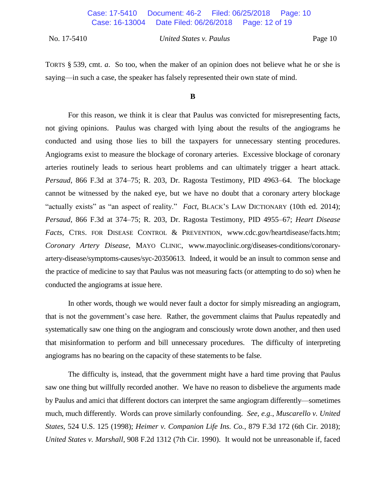TORTS § 539, cmt. *a*. So too, when the maker of an opinion does not believe what he or she is saying—in such a case, the speaker has falsely represented their own state of mind.

#### **B**

For this reason, we think it is clear that Paulus was convicted for misrepresenting facts, not giving opinions. Paulus was charged with lying about the results of the angiograms he conducted and using those lies to bill the taxpayers for unnecessary stenting procedures. Angiograms exist to measure the blockage of coronary arteries. Excessive blockage of coronary arteries routinely leads to serious heart problems and can ultimately trigger a heart attack. *Persaud*, 866 F.3d at 374–75; R. 203, Dr. Ragosta Testimony, PID 4963–64. The blockage cannot be witnessed by the naked eye, but we have no doubt that a coronary artery blockage "actually exists" as "an aspect of reality." *Fact*, BLACK'S LAW DICTIONARY (10th ed. 2014); *Persaud*, 866 F.3d at 374–75; R. 203, Dr. Ragosta Testimony, PID 4955–67; *Heart Disease Facts*, CTRS. FOR DISEASE CONTROL & PREVENTION, www.cdc.gov/heartdisease/facts.htm; *Coronary Artery Disease*, MAYO CLINIC, www.mayoclinic.org/diseases-conditions/coronaryartery-disease/symptoms-causes/syc-20350613. Indeed, it would be an insult to common sense and the practice of medicine to say that Paulus was not measuring facts (or attempting to do so) when he conducted the angiograms at issue here.

In other words, though we would never fault a doctor for simply misreading an angiogram, that is not the government's case here. Rather, the government claims that Paulus repeatedly and systematically saw one thing on the angiogram and consciously wrote down another, and then used that misinformation to perform and bill unnecessary procedures. The difficulty of interpreting angiograms has no bearing on the capacity of these statements to be false.

The difficulty is, instead, that the government might have a hard time proving that Paulus saw one thing but willfully recorded another. We have no reason to disbelieve the arguments made by Paulus and amici that different doctors can interpret the same angiogram differently—sometimes much, much differently. Words can prove similarly confounding. *See, e.g.*, *Muscarello v. United States*, 524 U.S. 125 (1998); *Heimer v. Companion Life Ins. Co.*, 879 F.3d 172 (6th Cir. 2018); *United States v. Marshall*, 908 F.2d 1312 (7th Cir. 1990). It would not be unreasonable if, faced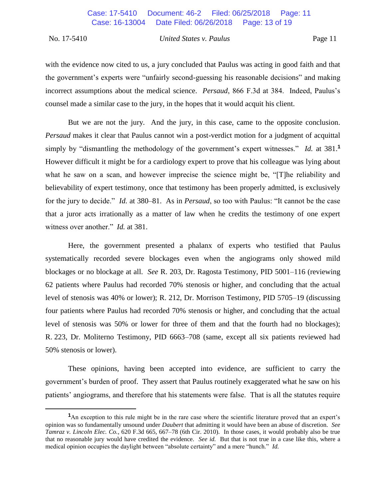$\overline{a}$ 

#### No. 17-5410 *United States v. Paulus* Page 11

with the evidence now cited to us, a jury concluded that Paulus was acting in good faith and that the government's experts were "unfairly second-guessing his reasonable decisions" and making incorrect assumptions about the medical science. *Persaud*, 866 F.3d at 384. Indeed, Paulus's counsel made a similar case to the jury, in the hopes that it would acquit his client.

But we are not the jury. And the jury, in this case, came to the opposite conclusion. *Persaud* makes it clear that Paulus cannot win a post-verdict motion for a judgment of acquittal simply by "dismantling the methodology of the government's expert witnesses." *Id.* at 381.**<sup>1</sup>** However difficult it might be for a cardiology expert to prove that his colleague was lying about what he saw on a scan, and however imprecise the science might be, "[T]he reliability and believability of expert testimony, once that testimony has been properly admitted, is exclusively for the jury to decide." *Id.* at 380–81. As in *Persaud*, so too with Paulus: "It cannot be the case that a juror acts irrationally as a matter of law when he credits the testimony of one expert witness over another." *Id.* at 381.

Here, the government presented a phalanx of experts who testified that Paulus systematically recorded severe blockages even when the angiograms only showed mild blockages or no blockage at all. *See* R. 203, Dr. Ragosta Testimony, PID 5001–116 (reviewing 62 patients where Paulus had recorded 70% stenosis or higher, and concluding that the actual level of stenosis was 40% or lower); R. 212, Dr. Morrison Testimony, PID 5705–19 (discussing four patients where Paulus had recorded 70% stenosis or higher, and concluding that the actual level of stenosis was 50% or lower for three of them and that the fourth had no blockages); R. 223, Dr. Moliterno Testimony, PID 6663–708 (same, except all six patients reviewed had 50% stenosis or lower).

These opinions, having been accepted into evidence, are sufficient to carry the government's burden of proof. They assert that Paulus routinely exaggerated what he saw on his patients' angiograms, and therefore that his statements were false. That is all the statutes require

<sup>&</sup>lt;sup>1</sup>An exception to this rule might be in the rare case where the scientific literature proved that an expert's opinion was so fundamentally unsound under *Daubert* that admitting it would have been an abuse of discretion. *See Tamraz v. Lincoln Elec. Co.*, 620 F.3d 665, 667–78 (6th Cir. 2010). In those cases, it would probably also be true that no reasonable jury would have credited the evidence. *See id.* But that is not true in a case like this, where a medical opinion occupies the daylight between "absolute certainty" and a mere "hunch." *Id.*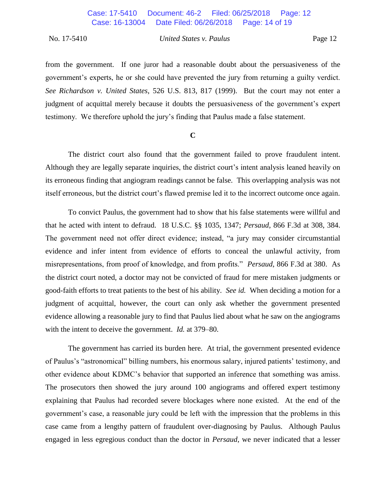from the government. If one juror had a reasonable doubt about the persuasiveness of the government's experts, he or she could have prevented the jury from returning a guilty verdict. *See Richardson v. United States*, 526 U.S. 813, 817 (1999). But the court may not enter a judgment of acquittal merely because it doubts the persuasiveness of the government's expert testimony. We therefore uphold the jury's finding that Paulus made a false statement.

## **C**

The district court also found that the government failed to prove fraudulent intent. Although they are legally separate inquiries, the district court's intent analysis leaned heavily on its erroneous finding that angiogram readings cannot be false. This overlapping analysis was not itself erroneous, but the district court's flawed premise led it to the incorrect outcome once again.

To convict Paulus, the government had to show that his false statements were willful and that he acted with intent to defraud. 18 U.S.C. §§ 1035, 1347; *Persaud*, 866 F.3d at 308, 384. The government need not offer direct evidence; instead, "a jury may consider circumstantial evidence and infer intent from evidence of efforts to conceal the unlawful activity, from misrepresentations, from proof of knowledge, and from profits." *Persaud*, 866 F.3d at 380. As the district court noted, a doctor may not be convicted of fraud for mere mistaken judgments or good-faith efforts to treat patients to the best of his ability. *See id.* When deciding a motion for a judgment of acquittal, however, the court can only ask whether the government presented evidence allowing a reasonable jury to find that Paulus lied about what he saw on the angiograms with the intent to deceive the government. *Id.* at 379–80.

The government has carried its burden here. At trial, the government presented evidence of Paulus's "astronomical" billing numbers, his enormous salary, injured patients' testimony, and other evidence about KDMC's behavior that supported an inference that something was amiss. The prosecutors then showed the jury around 100 angiograms and offered expert testimony explaining that Paulus had recorded severe blockages where none existed. At the end of the government's case, a reasonable jury could be left with the impression that the problems in this case came from a lengthy pattern of fraudulent over-diagnosing by Paulus. Although Paulus engaged in less egregious conduct than the doctor in *Persaud*, we never indicated that a lesser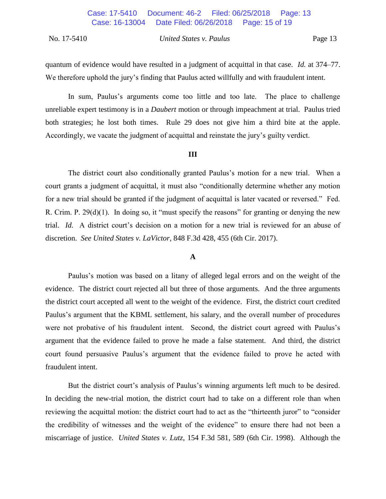quantum of evidence would have resulted in a judgment of acquittal in that case. *Id.* at 374–77. We therefore uphold the jury's finding that Paulus acted willfully and with fraudulent intent.

In sum, Paulus's arguments come too little and too late. The place to challenge unreliable expert testimony is in a *Daubert* motion or through impeachment at trial. Paulus tried both strategies; he lost both times. Rule 29 does not give him a third bite at the apple. Accordingly, we vacate the judgment of acquittal and reinstate the jury's guilty verdict.

#### **III**

The district court also conditionally granted Paulus's motion for a new trial. When a court grants a judgment of acquittal, it must also "conditionally determine whether any motion for a new trial should be granted if the judgment of acquittal is later vacated or reversed." Fed. R. Crim. P. 29(d)(1). In doing so, it "must specify the reasons" for granting or denying the new trial. *Id.* A district court's decision on a motion for a new trial is reviewed for an abuse of discretion. *See United States v. LaVictor*, 848 F.3d 428, 455 (6th Cir. 2017).

## **A**

Paulus's motion was based on a litany of alleged legal errors and on the weight of the evidence. The district court rejected all but three of those arguments. And the three arguments the district court accepted all went to the weight of the evidence. First, the district court credited Paulus's argument that the KBML settlement, his salary, and the overall number of procedures were not probative of his fraudulent intent. Second, the district court agreed with Paulus's argument that the evidence failed to prove he made a false statement. And third, the district court found persuasive Paulus's argument that the evidence failed to prove he acted with fraudulent intent.

But the district court's analysis of Paulus's winning arguments left much to be desired. In deciding the new-trial motion, the district court had to take on a different role than when reviewing the acquittal motion: the district court had to act as the "thirteenth juror" to "consider the credibility of witnesses and the weight of the evidence" to ensure there had not been a miscarriage of justice. *United States v. Lutz*, 154 F.3d 581, 589 (6th Cir. 1998). Although the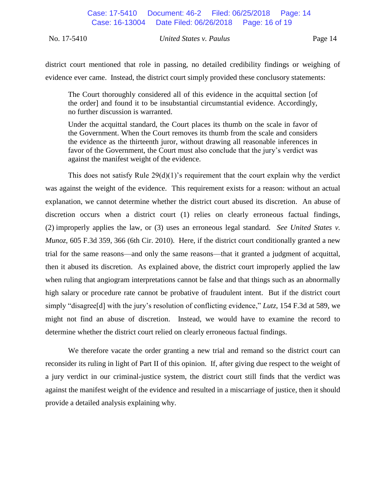district court mentioned that role in passing, no detailed credibility findings or weighing of evidence ever came. Instead, the district court simply provided these conclusory statements:

The Court thoroughly considered all of this evidence in the acquittal section [of the order] and found it to be insubstantial circumstantial evidence. Accordingly, no further discussion is warranted.

Under the acquittal standard, the Court places its thumb on the scale in favor of the Government. When the Court removes its thumb from the scale and considers the evidence as the thirteenth juror, without drawing all reasonable inferences in favor of the Government, the Court must also conclude that the jury's verdict was against the manifest weight of the evidence.

This does not satisfy Rule  $29(d)(1)$ 's requirement that the court explain why the verdict was against the weight of the evidence. This requirement exists for a reason: without an actual explanation, we cannot determine whether the district court abused its discretion. An abuse of discretion occurs when a district court (1) relies on clearly erroneous factual findings, (2) improperly applies the law, or (3) uses an erroneous legal standard. *See United States v. Munoz*, 605 F.3d 359, 366 (6th Cir. 2010). Here, if the district court conditionally granted a new trial for the same reasons—and only the same reasons—that it granted a judgment of acquittal, then it abused its discretion. As explained above, the district court improperly applied the law when ruling that angiogram interpretations cannot be false and that things such as an abnormally high salary or procedure rate cannot be probative of fraudulent intent. But if the district court simply "disagree[d] with the jury's resolution of conflicting evidence," *Lutz*, 154 F.3d at 589, we might not find an abuse of discretion. Instead, we would have to examine the record to determine whether the district court relied on clearly erroneous factual findings.

We therefore vacate the order granting a new trial and remand so the district court can reconsider its ruling in light of Part II of this opinion. If, after giving due respect to the weight of a jury verdict in our criminal-justice system, the district court still finds that the verdict was against the manifest weight of the evidence and resulted in a miscarriage of justice, then it should provide a detailed analysis explaining why.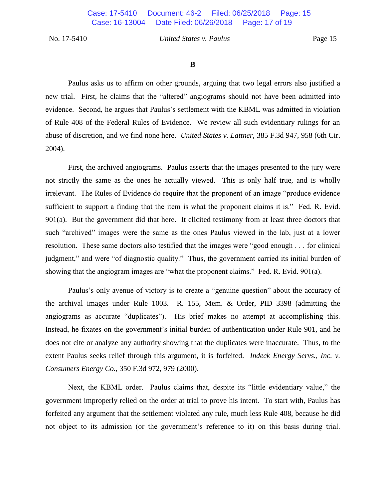## **B**

Paulus asks us to affirm on other grounds, arguing that two legal errors also justified a new trial. First, he claims that the "altered" angiograms should not have been admitted into evidence. Second, he argues that Paulus's settlement with the KBML was admitted in violation of Rule 408 of the Federal Rules of Evidence. We review all such evidentiary rulings for an abuse of discretion, and we find none here. *United States v. Lattner*, 385 F.3d 947, 958 (6th Cir. 2004).

First, the archived angiograms. Paulus asserts that the images presented to the jury were not strictly the same as the ones he actually viewed. This is only half true, and is wholly irrelevant. The Rules of Evidence do require that the proponent of an image "produce evidence sufficient to support a finding that the item is what the proponent claims it is." Fed. R. Evid. 901(a). But the government did that here. It elicited testimony from at least three doctors that such "archived" images were the same as the ones Paulus viewed in the lab, just at a lower resolution. These same doctors also testified that the images were "good enough . . . for clinical judgment," and were "of diagnostic quality." Thus, the government carried its initial burden of showing that the angiogram images are "what the proponent claims." Fed. R. Evid. 901(a).

Paulus's only avenue of victory is to create a "genuine question" about the accuracy of the archival images under Rule 1003. R. 155, Mem. & Order, PID 3398 (admitting the angiograms as accurate "duplicates"). His brief makes no attempt at accomplishing this. Instead, he fixates on the government's initial burden of authentication under Rule 901, and he does not cite or analyze any authority showing that the duplicates were inaccurate. Thus, to the extent Paulus seeks relief through this argument, it is forfeited. *Indeck Energy Servs., Inc. v. Consumers Energy Co.*, 350 F.3d 972, 979 (2000).

Next, the KBML order. Paulus claims that, despite its "little evidentiary value," the government improperly relied on the order at trial to prove his intent. To start with, Paulus has forfeited any argument that the settlement violated any rule, much less Rule 408, because he did not object to its admission (or the government's reference to it) on this basis during trial.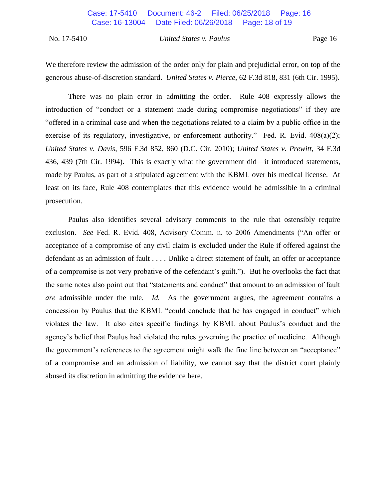We therefore review the admission of the order only for plain and prejudicial error, on top of the generous abuse-of-discretion standard. *United States v. Pierce*, 62 F.3d 818, 831 (6th Cir. 1995).

There was no plain error in admitting the order. Rule 408 expressly allows the introduction of "conduct or a statement made during compromise negotiations" if they are "offered in a criminal case and when the negotiations related to a claim by a public office in the exercise of its regulatory, investigative, or enforcement authority." Fed. R. Evid. 408(a)(2); *United States v. Davis*, 596 F.3d 852, 860 (D.C. Cir. 2010); *United States v. Prewitt*, 34 F.3d 436, 439 (7th Cir. 1994). This is exactly what the government did—it introduced statements, made by Paulus, as part of a stipulated agreement with the KBML over his medical license. At least on its face, Rule 408 contemplates that this evidence would be admissible in a criminal prosecution.

Paulus also identifies several advisory comments to the rule that ostensibly require exclusion. *See* Fed. R. Evid. 408, Advisory Comm. n. to 2006 Amendments ("An offer or acceptance of a compromise of any civil claim is excluded under the Rule if offered against the defendant as an admission of fault . . . . Unlike a direct statement of fault, an offer or acceptance of a compromise is not very probative of the defendant's guilt."). But he overlooks the fact that the same notes also point out that "statements and conduct" that amount to an admission of fault *are* admissible under the rule. *Id.* As the government argues, the agreement contains a concession by Paulus that the KBML "could conclude that he has engaged in conduct" which violates the law. It also cites specific findings by KBML about Paulus's conduct and the agency's belief that Paulus had violated the rules governing the practice of medicine. Although the government's references to the agreement might walk the fine line between an "acceptance" of a compromise and an admission of liability, we cannot say that the district court plainly abused its discretion in admitting the evidence here.